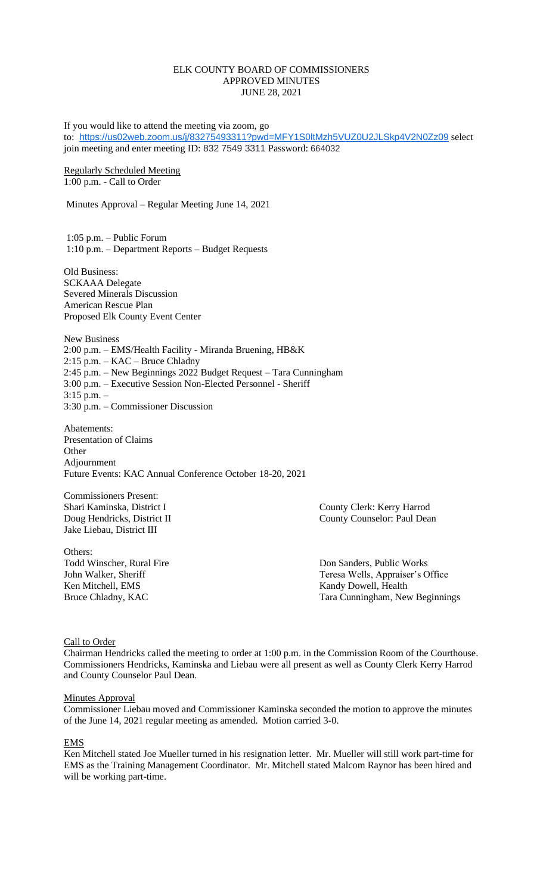# ELK COUNTY BOARD OF COMMISSIONERS APPROVED MINUTES JUNE 28, 2021

If you would like to attend the meeting via zoom, go to: <https://us02web.zoom.us/j/83275493311?pwd=MFY1S0ltMzh5VUZ0U2JLSkp4V2N0Zz09> select join meeting and enter meeting ID: 832 7549 3311 Password: 664032

### Regularly Scheduled Meeting 1:00 p.m. - Call to Order

Minutes Approval – Regular Meeting June 14, 2021

1:05 p.m. – Public Forum 1:10 p.m. – Department Reports – Budget Requests

Old Business: SCKAAA Delegate Severed Minerals Discussion American Rescue Plan Proposed Elk County Event Center

New Business 2:00 p.m. – EMS/Health Facility - Miranda Bruening, HB&K 2:15 p.m. – KAC – Bruce Chladny 2:45 p.m. – New Beginnings 2022 Budget Request – Tara Cunningham 3:00 p.m. – Executive Session Non-Elected Personnel - Sheriff 3:15 p.m. – 3:30 p.m. – Commissioner Discussion

Abatements: Presentation of Claims **Other** Adjournment Future Events: KAC Annual Conference October 18-20, 2021

Commissioners Present: Jake Liebau, District III

Others: Todd Winscher, Rural Fire The Communication of the Don Sanders, Public Works Ken Mitchell, EMS Kandy Dowell, Health

County Clerk: Kerry Harrod Doug Hendricks, District II County Counselor: Paul Dean

John Walker, Sheriff Teresa Wells, Appraiser's Office Bruce Chladny, KAC Tara Cunningham, New Beginnings

Call to Order

Chairman Hendricks called the meeting to order at 1:00 p.m. in the Commission Room of the Courthouse. Commissioners Hendricks, Kaminska and Liebau were all present as well as County Clerk Kerry Harrod and County Counselor Paul Dean.

### **Minutes Approval**

Commissioner Liebau moved and Commissioner Kaminska seconded the motion to approve the minutes of the June 14, 2021 regular meeting as amended. Motion carried 3-0.

### EMS

Ken Mitchell stated Joe Mueller turned in his resignation letter. Mr. Mueller will still work part-time for EMS as the Training Management Coordinator. Mr. Mitchell stated Malcom Raynor has been hired and will be working part-time.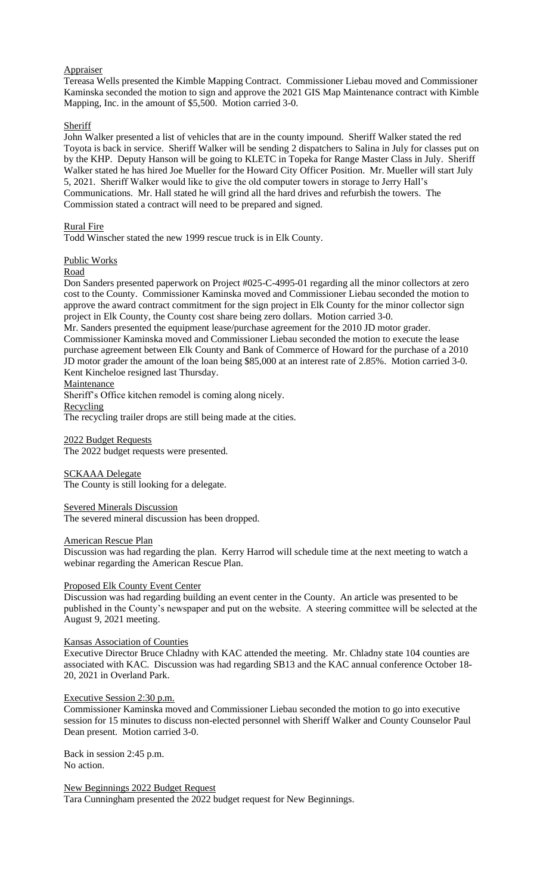# **Appraiser**

Tereasa Wells presented the Kimble Mapping Contract. Commissioner Liebau moved and Commissioner Kaminska seconded the motion to sign and approve the 2021 GIS Map Maintenance contract with Kimble Mapping, Inc. in the amount of \$5,500. Motion carried 3-0.

### Sheriff

John Walker presented a list of vehicles that are in the county impound. Sheriff Walker stated the red Toyota is back in service. Sheriff Walker will be sending 2 dispatchers to Salina in July for classes put on by the KHP. Deputy Hanson will be going to KLETC in Topeka for Range Master Class in July. Sheriff Walker stated he has hired Joe Mueller for the Howard City Officer Position. Mr. Mueller will start July 5, 2021. Sheriff Walker would like to give the old computer towers in storage to Jerry Hall's Communications. Mr. Hall stated he will grind all the hard drives and refurbish the towers. The Commission stated a contract will need to be prepared and signed.

### Rural Fire

Todd Winscher stated the new 1999 rescue truck is in Elk County.

# Public Works

### Road

Don Sanders presented paperwork on Project #025-C-4995-01 regarding all the minor collectors at zero cost to the County. Commissioner Kaminska moved and Commissioner Liebau seconded the motion to approve the award contract commitment for the sign project in Elk County for the minor collector sign project in Elk County, the County cost share being zero dollars. Motion carried 3-0.

Mr. Sanders presented the equipment lease/purchase agreement for the 2010 JD motor grader. Commissioner Kaminska moved and Commissioner Liebau seconded the motion to execute the lease purchase agreement between Elk County and Bank of Commerce of Howard for the purchase of a 2010 JD motor grader the amount of the loan being \$85,000 at an interest rate of 2.85%. Motion carried 3-0. Kent Kincheloe resigned last Thursday.

# Maintenance

Sheriff's Office kitchen remodel is coming along nicely.

**Recycling** The recycling trailer drops are still being made at the cities.

2022 Budget Requests The 2022 budget requests were presented.

# SCKAAA Delegate

The County is still looking for a delegate.

# Severed Minerals Discussion

The severed mineral discussion has been dropped.

### American Rescue Plan

Discussion was had regarding the plan. Kerry Harrod will schedule time at the next meeting to watch a webinar regarding the American Rescue Plan.

### Proposed Elk County Event Center

Discussion was had regarding building an event center in the County. An article was presented to be published in the County's newspaper and put on the website. A steering committee will be selected at the August 9, 2021 meeting.

### Kansas Association of Counties

Executive Director Bruce Chladny with KAC attended the meeting. Mr. Chladny state 104 counties are associated with KAC. Discussion was had regarding SB13 and the KAC annual conference October 18- 20, 2021 in Overland Park.

### Executive Session 2:30 p.m.

Commissioner Kaminska moved and Commissioner Liebau seconded the motion to go into executive session for 15 minutes to discuss non-elected personnel with Sheriff Walker and County Counselor Paul Dean present. Motion carried 3-0.

Back in session 2:45 p.m. No action.

New Beginnings 2022 Budget Request Tara Cunningham presented the 2022 budget request for New Beginnings.